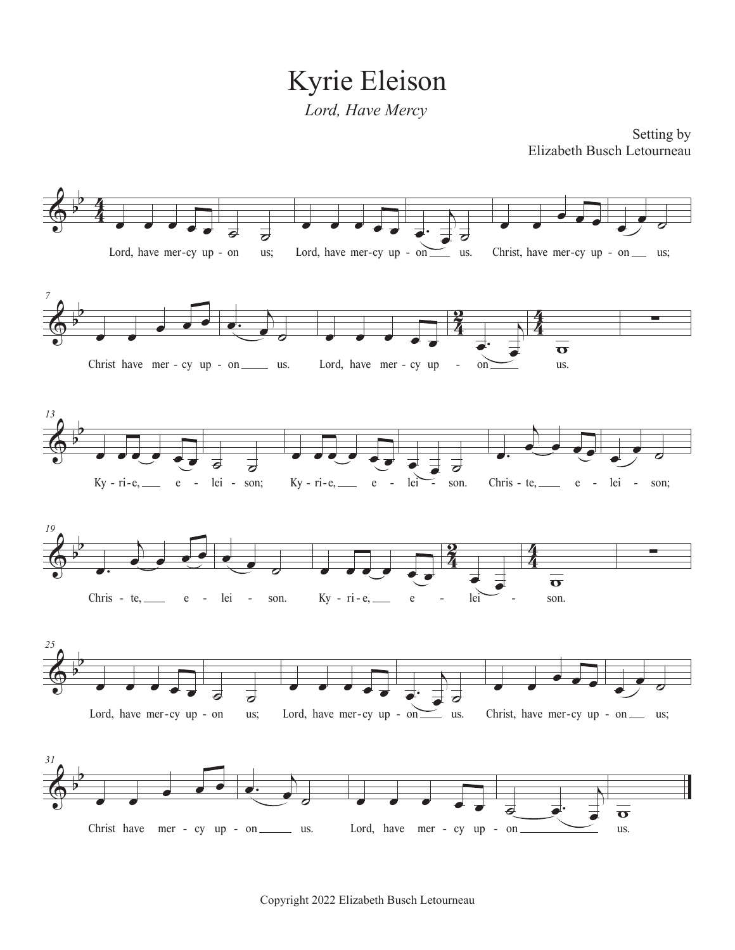Kyrie Eleison *Lord, Have Mercy*

Setting by Elizabeth Busch Letourneau

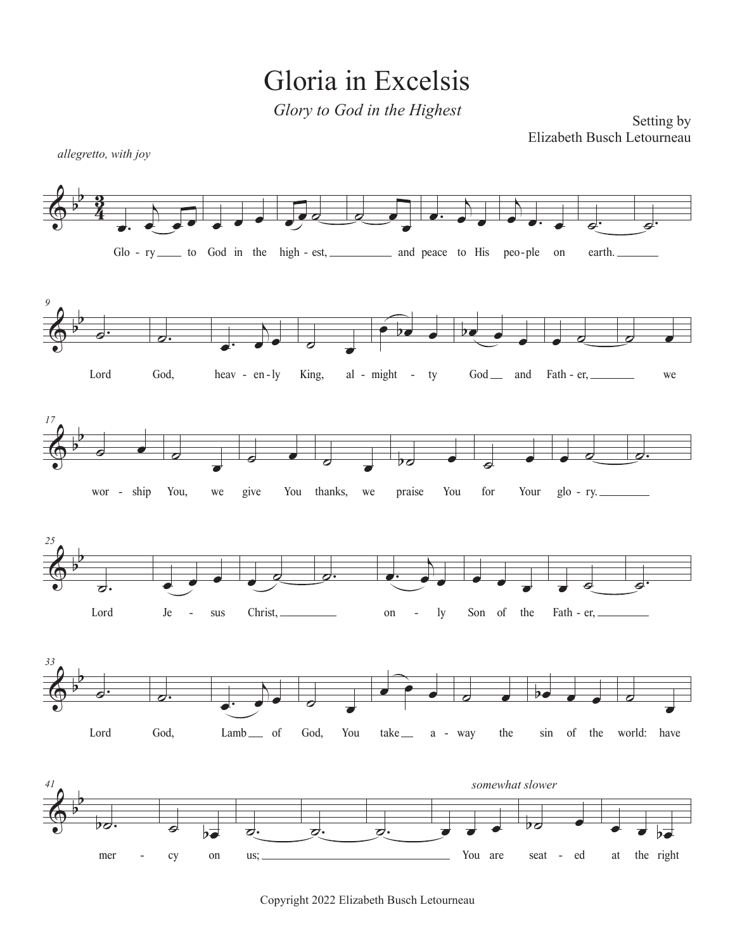Gloria in Excelsis

*Glory to God in the Highest*

Setting by Elizabeth Busch Letourneau



Copyright 2022 Elizabeth Busch Letourneau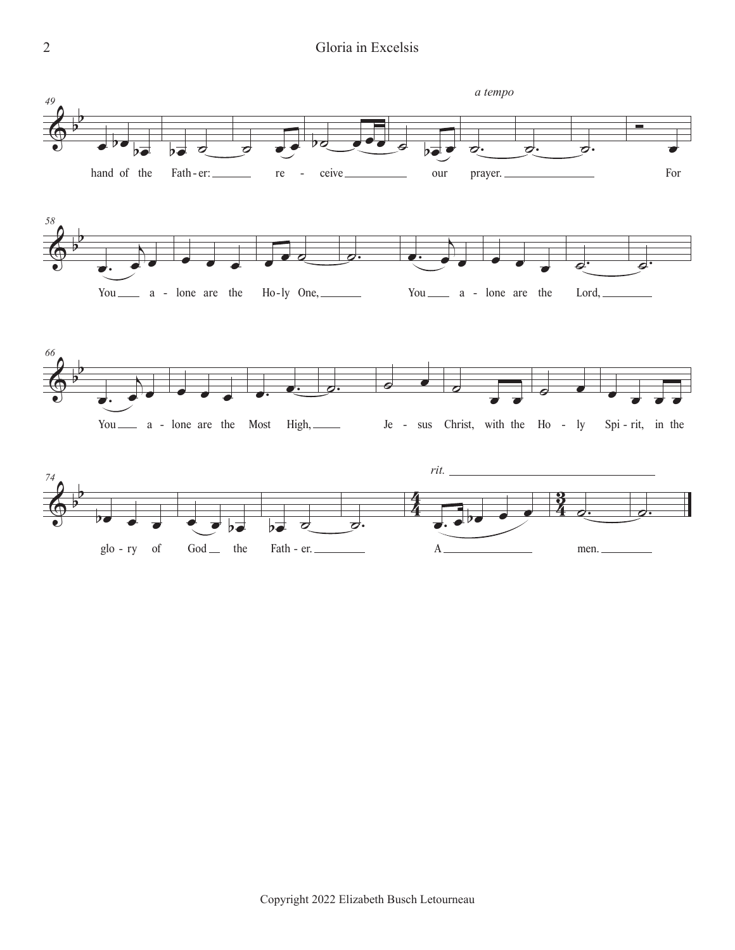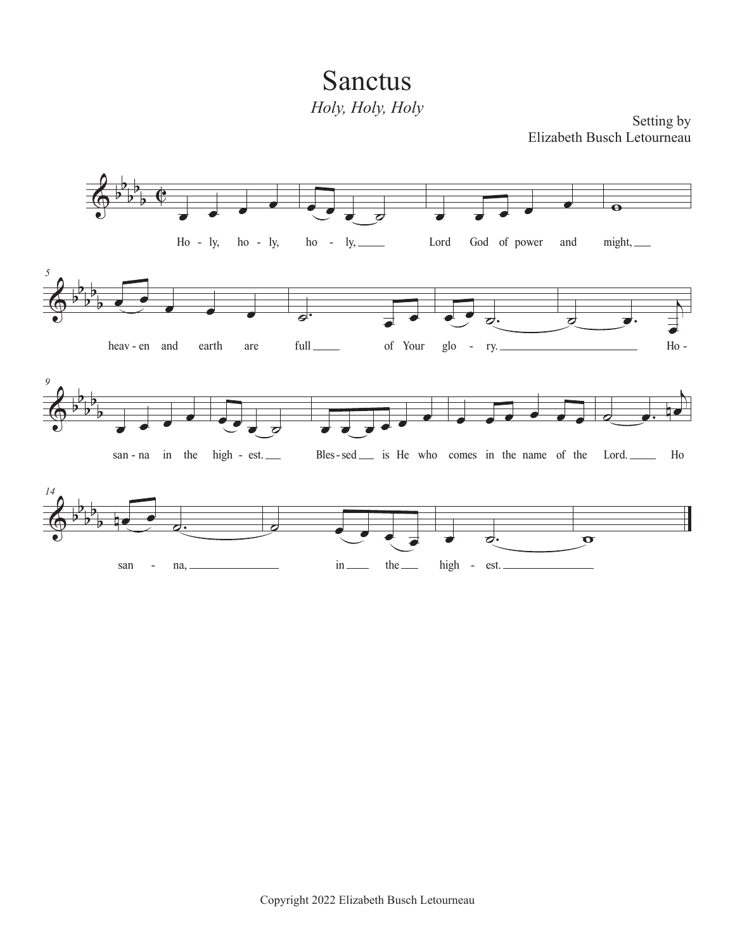Sanctus *Holy, Holy, Holy*

Setting by Elizabeth Busch Letourneau